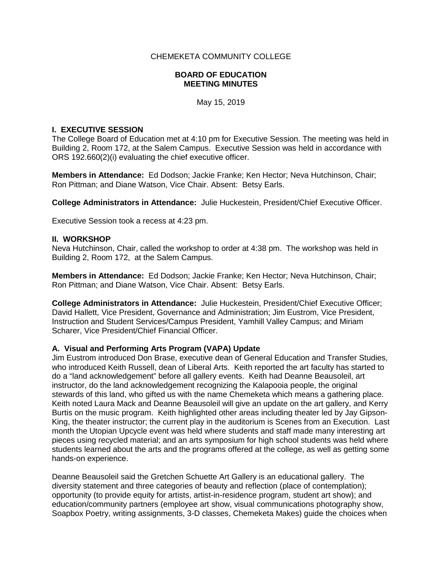## CHEMEKETA COMMUNITY COLLEGE

### **BOARD OF EDUCATION MEETING MINUTES**

May 15, 2019

### **I. EXECUTIVE SESSION**

The College Board of Education met at 4:10 pm for Executive Session. The meeting was held in Building 2, Room 172, at the Salem Campus. Executive Session was held in accordance with ORS 192.660(2)(i) evaluating the chief executive officer.

**Members in Attendance:** Ed Dodson; Jackie Franke; Ken Hector; Neva Hutchinson, Chair; Ron Pittman; and Diane Watson, Vice Chair. Absent: Betsy Earls.

**College Administrators in Attendance:** Julie Huckestein, President/Chief Executive Officer.

Executive Session took a recess at 4:23 pm.

### **II. WORKSHOP**

Neva Hutchinson, Chair, called the workshop to order at 4:38 pm. The workshop was held in Building 2, Room 172, at the Salem Campus.

**Members in Attendance:** Ed Dodson; Jackie Franke; Ken Hector; Neva Hutchinson, Chair; Ron Pittman; and Diane Watson, Vice Chair. Absent: Betsy Earls.

**College Administrators in Attendance:** Julie Huckestein, President/Chief Executive Officer; David Hallett, Vice President, Governance and Administration; Jim Eustrom, Vice President, Instruction and Student Services/Campus President, Yamhill Valley Campus; and Miriam Scharer, Vice President/Chief Financial Officer.

### **A. Visual and Performing Arts Program (VAPA) Update**

Jim Eustrom introduced Don Brase, executive dean of General Education and Transfer Studies, who introduced Keith Russell, dean of Liberal Arts. Keith reported the art faculty has started to do a "land acknowledgement" before all gallery events. Keith had Deanne Beausoleil, art instructor, do the land acknowledgement recognizing the Kalapooia people, the original stewards of this land, who gifted us with the name Chemeketa which means a gathering place. Keith noted Laura Mack and Deanne Beausoleil will give an update on the art gallery, and Kerry Burtis on the music program. Keith highlighted other areas including theater led by Jay Gipson-King, the theater instructor; the current play in the auditorium is Scenes from an Execution. Last month the Utopian Upcycle event was held where students and staff made many interesting art pieces using recycled material; and an arts symposium for high school students was held where students learned about the arts and the programs offered at the college, as well as getting some hands-on experience.

Deanne Beausoleil said the Gretchen Schuette Art Gallery is an educational gallery. The diversity statement and three categories of beauty and reflection (place of contemplation); opportunity (to provide equity for artists, artist-in-residence program, student art show); and education/community partners (employee art show, visual communications photography show, Soapbox Poetry, writing assignments, 3-D classes, Chemeketa Makes) guide the choices when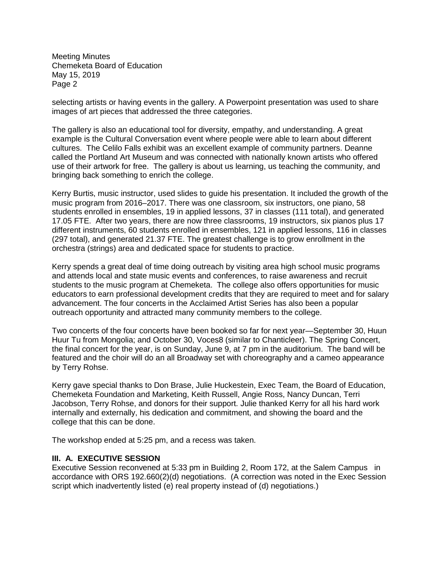selecting artists or having events in the gallery. A Powerpoint presentation was used to share images of art pieces that addressed the three categories.

The gallery is also an educational tool for diversity, empathy, and understanding. A great example is the Cultural Conversation event where people were able to learn about different cultures. The Celilo Falls exhibit was an excellent example of community partners. Deanne called the Portland Art Museum and was connected with nationally known artists who offered use of their artwork for free. The gallery is about us learning, us teaching the community, and bringing back something to enrich the college.

Kerry Burtis, music instructor, used slides to guide his presentation. It included the growth of the music program from 2016–2017. There was one classroom, six instructors, one piano, 58 students enrolled in ensembles, 19 in applied lessons, 37 in classes (111 total), and generated 17.05 FTE. After two years, there are now three classrooms, 19 instructors, six pianos plus 17 different instruments, 60 students enrolled in ensembles, 121 in applied lessons, 116 in classes (297 total), and generated 21.37 FTE. The greatest challenge is to grow enrollment in the orchestra (strings) area and dedicated space for students to practice.

Kerry spends a great deal of time doing outreach by visiting area high school music programs and attends local and state music events and conferences, to raise awareness and recruit students to the music program at Chemeketa. The college also offers opportunities for music educators to earn professional development credits that they are required to meet and for salary advancement. The four concerts in the Acclaimed Artist Series has also been a popular outreach opportunity and attracted many community members to the college.

Two concerts of the four concerts have been booked so far for next year—September 30, Huun Huur Tu from Mongolia; and October 30, Voces8 (similar to Chanticleer). The Spring Concert, the final concert for the year, is on Sunday, June 9, at 7 pm in the auditorium. The band will be featured and the choir will do an all Broadway set with choreography and a cameo appearance by Terry Rohse.

Kerry gave special thanks to Don Brase, Julie Huckestein, Exec Team, the Board of Education, Chemeketa Foundation and Marketing, Keith Russell, Angie Ross, Nancy Duncan, Terri Jacobson, Terry Rohse, and donors for their support. Julie thanked Kerry for all his hard work internally and externally, his dedication and commitment, and showing the board and the college that this can be done.

The workshop ended at 5:25 pm, and a recess was taken.

### **III. A. EXECUTIVE SESSION**

Executive Session reconvened at 5:33 pm in Building 2, Room 172, at the Salem Campus in accordance with ORS 192.660(2)(d) negotiations. (A correction was noted in the Exec Session script which inadvertently listed (e) real property instead of (d) negotiations.)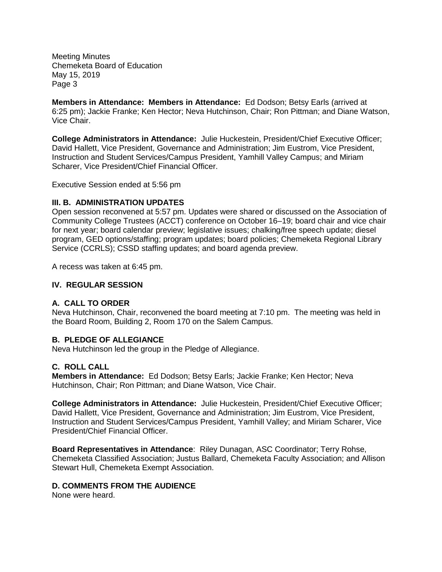**Members in Attendance: Members in Attendance:** Ed Dodson; Betsy Earls (arrived at 6:25 pm); Jackie Franke; Ken Hector; Neva Hutchinson, Chair; Ron Pittman; and Diane Watson, Vice Chair.

**College Administrators in Attendance:** Julie Huckestein, President/Chief Executive Officer; David Hallett, Vice President, Governance and Administration; Jim Eustrom, Vice President, Instruction and Student Services/Campus President, Yamhill Valley Campus; and Miriam Scharer, Vice President/Chief Financial Officer.

Executive Session ended at 5:56 pm

## **III. B. ADMINISTRATION UPDATES**

Open session reconvened at 5:57 pm. Updates were shared or discussed on the Association of Community College Trustees (ACCT) conference on October 16–19; board chair and vice chair for next year; board calendar preview; legislative issues; chalking/free speech update; diesel program, GED options/staffing; program updates; board policies; Chemeketa Regional Library Service (CCRLS); CSSD staffing updates; and board agenda preview.

A recess was taken at 6:45 pm.

## **IV. REGULAR SESSION**

### **A. CALL TO ORDER**

Neva Hutchinson, Chair, reconvened the board meeting at 7:10 pm. The meeting was held in the Board Room, Building 2, Room 170 on the Salem Campus.

### **B. PLEDGE OF ALLEGIANCE**

Neva Hutchinson led the group in the Pledge of Allegiance.

### **C. ROLL CALL**

**Members in Attendance:** Ed Dodson; Betsy Earls; Jackie Franke; Ken Hector; Neva Hutchinson, Chair; Ron Pittman; and Diane Watson, Vice Chair.

**College Administrators in Attendance:** Julie Huckestein, President/Chief Executive Officer; David Hallett, Vice President, Governance and Administration; Jim Eustrom, Vice President, Instruction and Student Services/Campus President, Yamhill Valley; and Miriam Scharer, Vice President/Chief Financial Officer.

**Board Representatives in Attendance**: Riley Dunagan, ASC Coordinator; Terry Rohse, Chemeketa Classified Association; Justus Ballard, Chemeketa Faculty Association; and Allison Stewart Hull, Chemeketa Exempt Association.

# **D. COMMENTS FROM THE AUDIENCE**

None were heard.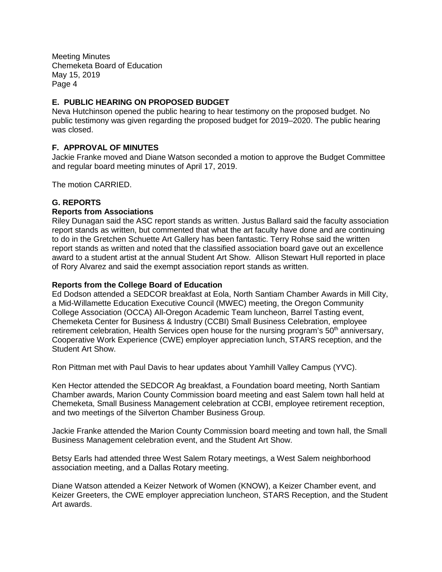# **E. PUBLIC HEARING ON PROPOSED BUDGET**

Neva Hutchinson opened the public hearing to hear testimony on the proposed budget. No public testimony was given regarding the proposed budget for 2019–2020. The public hearing was closed.

# **F. APPROVAL OF MINUTES**

Jackie Franke moved and Diane Watson seconded a motion to approve the Budget Committee and regular board meeting minutes of April 17, 2019.

The motion CARRIED.

# **G. REPORTS**

### **Reports from Associations**

Riley Dunagan said the ASC report stands as written. Justus Ballard said the faculty association report stands as written, but commented that what the art faculty have done and are continuing to do in the Gretchen Schuette Art Gallery has been fantastic. Terry Rohse said the written report stands as written and noted that the classified association board gave out an excellence award to a student artist at the annual Student Art Show. Allison Stewart Hull reported in place of Rory Alvarez and said the exempt association report stands as written.

#### **Reports from the College Board of Education**

Ed Dodson attended a SEDCOR breakfast at Eola, North Santiam Chamber Awards in Mill City, a Mid-Willamette Education Executive Council (MWEC) meeting, the Oregon Community College Association (OCCA) All-Oregon Academic Team luncheon, Barrel Tasting event, Chemeketa Center for Business & Industry (CCBI) Small Business Celebration, employee retirement celebration, Health Services open house for the nursing program's 50<sup>th</sup> anniversary, Cooperative Work Experience (CWE) employer appreciation lunch, STARS reception, and the Student Art Show.

Ron Pittman met with Paul Davis to hear updates about Yamhill Valley Campus (YVC).

Ken Hector attended the SEDCOR Ag breakfast, a Foundation board meeting, North Santiam Chamber awards, Marion County Commission board meeting and east Salem town hall held at Chemeketa, Small Business Management celebration at CCBI, employee retirement reception, and two meetings of the Silverton Chamber Business Group.

Jackie Franke attended the Marion County Commission board meeting and town hall, the Small Business Management celebration event, and the Student Art Show.

Betsy Earls had attended three West Salem Rotary meetings, a West Salem neighborhood association meeting, and a Dallas Rotary meeting.

Diane Watson attended a Keizer Network of Women (KNOW), a Keizer Chamber event, and Keizer Greeters, the CWE employer appreciation luncheon, STARS Reception, and the Student Art awards.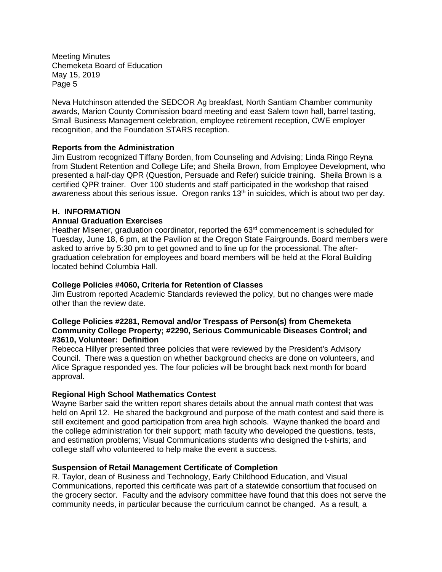Neva Hutchinson attended the SEDCOR Ag breakfast, North Santiam Chamber community awards, Marion County Commission board meeting and east Salem town hall, barrel tasting, Small Business Management celebration, employee retirement reception, CWE employer recognition, and the Foundation STARS reception.

### **Reports from the Administration**

Jim Eustrom recognized Tiffany Borden, from Counseling and Advising; Linda Ringo Reyna from Student Retention and College Life; and Sheila Brown, from Employee Development, who presented a half-day QPR (Question, Persuade and Refer) suicide training. Sheila Brown is a certified QPR trainer. Over 100 students and staff participated in the workshop that raised awareness about this serious issue. Oregon ranks  $13<sup>th</sup>$  in suicides, which is about two per day.

## **H. INFORMATION**

### **Annual Graduation Exercises**

Heather Misener, graduation coordinator, reported the  $63<sup>rd</sup>$  commencement is scheduled for Tuesday, June 18, 6 pm, at the Pavilion at the Oregon State Fairgrounds. Board members were asked to arrive by 5:30 pm to get gowned and to line up for the processional. The aftergraduation celebration for employees and board members will be held at the Floral Building located behind Columbia Hall.

### **College Policies #4060, Criteria for Retention of Classes**

Jim Eustrom reported Academic Standards reviewed the policy, but no changes were made other than the review date.

### **College Policies #2281, Removal and/or Trespass of Person(s) from Chemeketa Community College Property; #2290, Serious Communicable Diseases Control; and #3610, Volunteer: Definition**

Rebecca Hillyer presented three policies that were reviewed by the President's Advisory Council. There was a question on whether background checks are done on volunteers, and Alice Sprague responded yes. The four policies will be brought back next month for board approval.

### **Regional High School Mathematics Contest**

Wayne Barber said the written report shares details about the annual math contest that was held on April 12. He shared the background and purpose of the math contest and said there is still excitement and good participation from area high schools. Wayne thanked the board and the college administration for their support; math faculty who developed the questions, tests, and estimation problems; Visual Communications students who designed the t-shirts; and college staff who volunteered to help make the event a success.

### **Suspension of Retail Management Certificate of Completion**

R. Taylor, dean of Business and Technology, Early Childhood Education, and Visual Communications, reported this certificate was part of a statewide consortium that focused on the grocery sector. Faculty and the advisory committee have found that this does not serve the community needs, in particular because the curriculum cannot be changed. As a result, a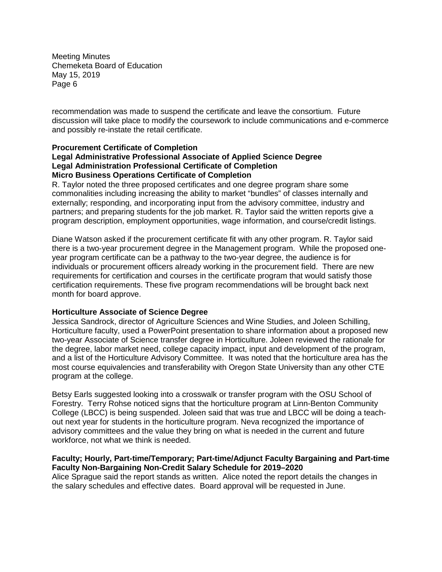recommendation was made to suspend the certificate and leave the consortium. Future discussion will take place to modify the coursework to include communications and e-commerce and possibly re-instate the retail certificate.

## **Procurement Certificate of Completion**

### **Legal Administrative Professional Associate of Applied Science Degree Legal Administration Professional Certificate of Completion Micro Business Operations Certificate of Completion**

R. Taylor noted the three proposed certificates and one degree program share some commonalities including increasing the ability to market "bundles" of classes internally and externally; responding, and incorporating input from the advisory committee, industry and partners; and preparing students for the job market. R. Taylor said the written reports give a program description, employment opportunities, wage information, and course/credit listings.

Diane Watson asked if the procurement certificate fit with any other program. R. Taylor said there is a two-year procurement degree in the Management program. While the proposed oneyear program certificate can be a pathway to the two-year degree, the audience is for individuals or procurement officers already working in the procurement field. There are new requirements for certification and courses in the certificate program that would satisfy those certification requirements. These five program recommendations will be brought back next month for board approve.

### **Horticulture Associate of Science Degree**

Jessica Sandrock, director of Agriculture Sciences and Wine Studies, and Joleen Schilling, Horticulture faculty, used a PowerPoint presentation to share information about a proposed new two-year Associate of Science transfer degree in Horticulture. Joleen reviewed the rationale for the degree, labor market need, college capacity impact, input and development of the program, and a list of the Horticulture Advisory Committee. It was noted that the horticulture area has the most course equivalencies and transferability with Oregon State University than any other CTE program at the college.

Betsy Earls suggested looking into a crosswalk or transfer program with the OSU School of Forestry. Terry Rohse noticed signs that the horticulture program at Linn-Benton Community College (LBCC) is being suspended. Joleen said that was true and LBCC will be doing a teachout next year for students in the horticulture program. Neva recognized the importance of advisory committees and the value they bring on what is needed in the current and future workforce, not what we think is needed.

## **Faculty; Hourly, Part-time/Temporary; Part-time/Adjunct Faculty Bargaining and Part-time Faculty Non-Bargaining Non-Credit Salary Schedule for 2019–2020**

Alice Sprague said the report stands as written. Alice noted the report details the changes in the salary schedules and effective dates. Board approval will be requested in June.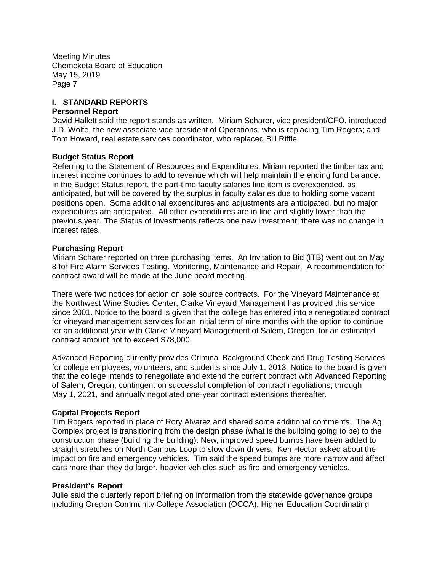### **I. STANDARD REPORTS**

#### **Personnel Report**

David Hallett said the report stands as written. Miriam Scharer, vice president/CFO, introduced J.D. Wolfe, the new associate vice president of Operations, who is replacing Tim Rogers; and Tom Howard, real estate services coordinator, who replaced Bill Riffle.

#### **Budget Status Report**

Referring to the Statement of Resources and Expenditures, Miriam reported the timber tax and interest income continues to add to revenue which will help maintain the ending fund balance. In the Budget Status report, the part-time faculty salaries line item is overexpended, as anticipated, but will be covered by the surplus in faculty salaries due to holding some vacant positions open. Some additional expenditures and adjustments are anticipated, but no major expenditures are anticipated. All other expenditures are in line and slightly lower than the previous year. The Status of Investments reflects one new investment; there was no change in interest rates.

#### **Purchasing Report**

Miriam Scharer reported on three purchasing items. An Invitation to Bid (ITB) went out on May 8 for Fire Alarm Services Testing, Monitoring, Maintenance and Repair. A recommendation for contract award will be made at the June board meeting.

There were two notices for action on sole source contracts. For the Vineyard Maintenance at the Northwest Wine Studies Center, Clarke Vineyard Management has provided this service since 2001. Notice to the board is given that the college has entered into a renegotiated contract for vineyard management services for an initial term of nine months with the option to continue for an additional year with Clarke Vineyard Management of Salem, Oregon, for an estimated contract amount not to exceed \$78,000.

Advanced Reporting currently provides Criminal Background Check and Drug Testing Services for college employees, volunteers, and students since July 1, 2013. Notice to the board is given that the college intends to renegotiate and extend the current contract with Advanced Reporting of Salem, Oregon, contingent on successful completion of contract negotiations, through May 1, 2021, and annually negotiated one-year contract extensions thereafter.

### **Capital Projects Report**

Tim Rogers reported in place of Rory Alvarez and shared some additional comments. The Ag Complex project is transitioning from the design phase (what is the building going to be) to the construction phase (building the building). New, improved speed bumps have been added to straight stretches on North Campus Loop to slow down drivers. Ken Hector asked about the impact on fire and emergency vehicles. Tim said the speed bumps are more narrow and affect cars more than they do larger, heavier vehicles such as fire and emergency vehicles.

#### **President's Report**

Julie said the quarterly report briefing on information from the statewide governance groups including Oregon Community College Association (OCCA), Higher Education Coordinating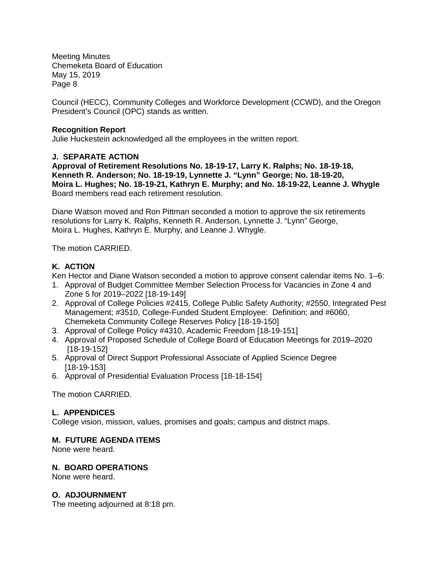Council (HECC), Community Colleges and Workforce Development (CCWD), and the Oregon President's Council (OPC) stands as written.

## **Recognition Report**

Julie Huckestein acknowledged all the employees in the written report.

## **J. SEPARATE ACTION**

**Approval of Retirement Resolutions No. 18-19-17, Larry K. Ralphs; No. 18-19-18, Kenneth R. Anderson; No. 18-19-19, Lynnette J. "Lynn" George; No. 18-19-20, Moira L. Hughes; No. 18-19-21, Kathryn E. Murphy; and No. 18-19-22, Leanne J. Whygle** Board members read each retirement resolution.

Diane Watson moved and Ron Pittman seconded a motion to approve the six retirements resolutions for Larry K. Ralphs, Kenneth R. Anderson, Lynnette J. "Lynn" George, Moira L. Hughes, Kathryn E. Murphy, and Leanne J. Whygle.

The motion CARRIED.

# **K. ACTION**

Ken Hector and Diane Watson seconded a motion to approve consent calendar items No. 1–6:

- 1. Approval of Budget Committee Member Selection Process for Vacancies in Zone 4 and Zone 5 for 2019–2022 [18-19-149]
- 2. Approval of College Policies #2415, College Public Safety Authority; #2550, Integrated Pest Management; #3510, College-Funded Student Employee: Definition; and #6060, Chemeketa Community College Reserves Policy [18-19-150]
- 3. Approval of College Policy #4310, Academic Freedom [18-19-151]
- 4. Approval of Proposed Schedule of College Board of Education Meetings for 2019–2020 [18-19-152]
- 5. Approval of Direct Support Professional Associate of Applied Science Degree [18-19-153]
- 6. Approval of Presidential Evaluation Process [18-18-154]

The motion CARRIED.

# **L. APPENDICES**

College vision, mission, values, promises and goals; campus and district maps.

# **M. FUTURE AGENDA ITEMS**

None were heard.

# **N. BOARD OPERATIONS**

None were heard.

# **O. ADJOURNMENT**

The meeting adjourned at 8:18 pm.